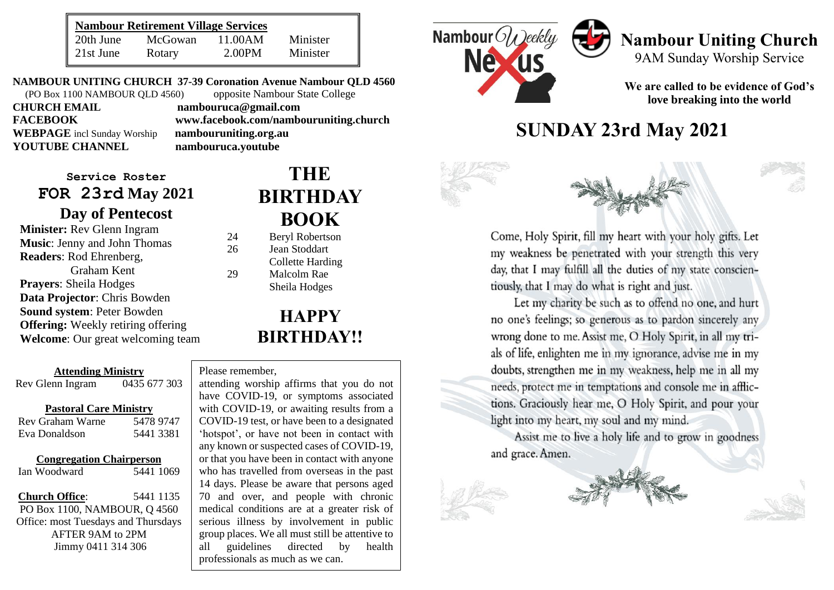| <b>Nambour Retirement Village Services</b> |         |         |          |
|--------------------------------------------|---------|---------|----------|
| 20th June                                  | McGowan | 11.00AM | Minister |
| 21st June                                  | Rotary  | 2.00PM  | Minister |

**NAMBOUR UNITING CHURCH 37-39 Coronation Avenue Nambour QLD 4560** (PO Box 1100 NAMBOUR QLD 4560) opposite Nambour State College **CHURCH EMAIL nambouruca@gmail.com FACEBOOK www.facebook.com/nambouruniting.church WEBPAGE** incl Sunday Worship **nambouruniting.org.au**<br> **YOUTUBE CHANNEL nambouruca.voutube YOUTUBE CHANNEL nambouruca.youtube**

**Service Roster FOR 23rd May 2021 Day of Pentecost**

**Minister:** Rev Glenn Ingram **Music**: Jenny and John Thomas **Readers**: Rod Ehrenberg, Graham Kent **Prayers**: Sheila Hodges **Data Projector**: Chris Bowden **Sound system**: Peter Bowden **Offering:** Weekly retiring offering **Welcome**: Our great welcoming team

#### **Attending Ministry** Rev Glenn Ingram 0435 677 303

#### **Pastoral Care Ministry**

| Rev Graham Warne | 5478 9747 |
|------------------|-----------|
| Eva Donaldson    | 5441 3381 |

#### **Congregation Chairperson**

Ian Woodward 5441 1069

**Church Office**: 5441 1135 PO Box 1100, NAMBOUR, Q 4560 Office: most Tuesdays and Thursdays AFTER 9AM to 2PM Jimmy 0411 314 306

# **THE BIRTHDAY BOOK**

24 Beryl Robertson 26 Jean Stoddart Collette Harding 29 Malcolm Rae Sheila Hodges

# **HAPPY BIRTHDAY!!**

#### Please remember,

serious illness by involvement in public group places. we all must still be attentive to<br>all guidelines directed by health attending worship affirms that you do not have COVID-19, or symptoms associated with COVID-19, or awaiting results from a COVID-19 test, or have been to a designated 'hotspot', or have not been in contact with any known or suspected cases of COVID-19, or that you have been in contact with anyone who has travelled from overseas in the past 14 days. Please be aware that persons aged 70 and over, and people with chronic medical conditions are at a greater risk of group places. We all must still be attentive to professionals as much as we can.



# **Nambour Uniting Church** 9AM Sunday Worship Service

**We are called to be evidence of God's love breaking into the world**

# **SUNDAY 23rd May 2021**



Come, Holy Spirit, fill my heart with your holy gifts. Let my weakness be penetrated with your strength this very day, that I may fulfill all the duties of my state conscientiously, that I may do what is right and just.

Let my charity be such as to offend no one, and hurt no one's feelings; so generous as to pardon sincerely any wrong done to me. Assist me, O Holy Spirit, in all my trials of life, enlighten me in my ignorance, advise me in my doubts, strengthen me in my weakness, help me in all my needs, protect me in temptations and console me in afflictions. Graciously hear me, O Holy Spirit, and pour your light into my heart, my soul and my mind.

Assist me to live a holy life and to grow in goodness and grace. Amen.